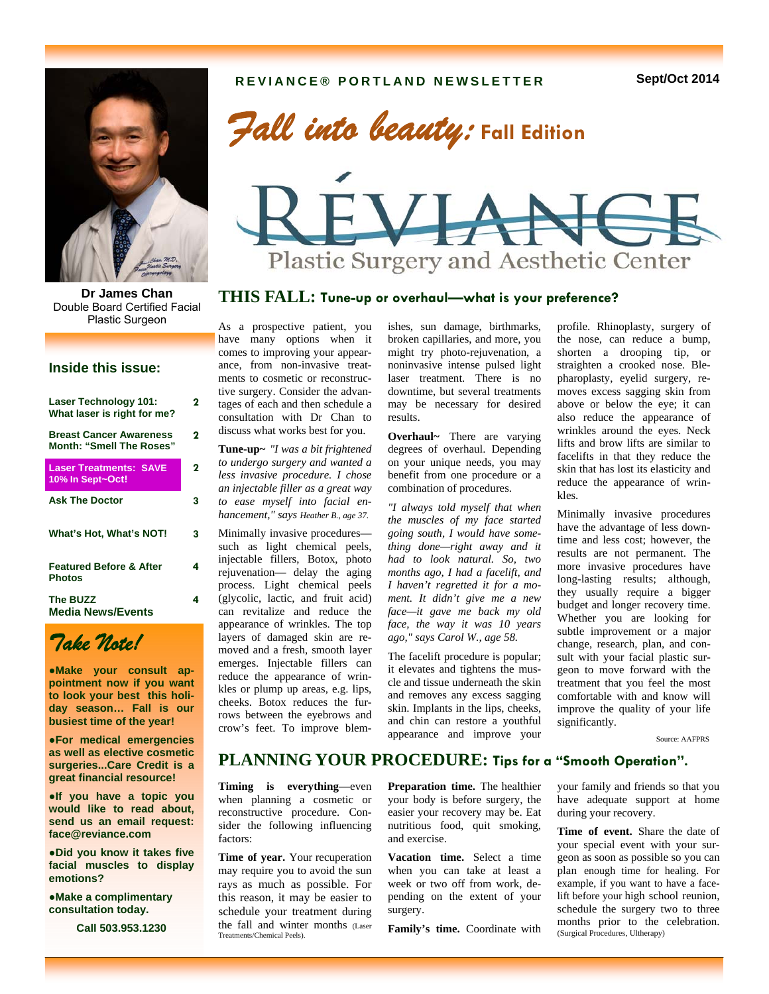*Fall into beauty:* **Fall Edition** 



**THIS FALL: Tune-up or overhaul—what is your preference? Dr James Chan**  Double Board Certified Facial Plastic Surgeon

# **Inside this issue:**

| <b>Laser Technology 101:</b><br>What laser is right for me?       | 2 |
|-------------------------------------------------------------------|---|
| <b>Breast Cancer Awareness</b><br><b>Month: "Smell The Roses"</b> | 2 |
| <b>Laser Treatments: SAVE</b><br>10% In Sept~Oct!                 | 2 |
| <b>Ask The Doctor</b>                                             | 3 |
| What's Hot, What's NOT!                                           | 3 |
| <b>Featured Before &amp; After</b><br><b>Photos</b>               | 4 |
| <b>The BUZZ</b><br><b>Media News/Events</b>                       | 4 |



●**Make your consult appointment now if you want to look your best this holiday season… Fall is our busiest time of the year!** 

●**For medical emergencies as well as elective cosmetic surgeries...Care Credit is a great financial resource!** 

●**If you have a topic you would like to read about, send us an email request: face@reviance.com** 

●**Did you know it takes five facial muscles to display emotions?** 

**●Make a complimentary consultation today.** 

**Call 503.953.1230**

As a prospective patient, you have many options when it comes to improving your appearance, from non-invasive treatments to cosmetic or reconstructive surgery. Consider the advantages of each and then schedule a consultation with Dr Chan to discuss what works best for you.

**Tune-up~** *"I was a bit frightened to undergo surgery and wanted a less invasive procedure. I chose an injectable filler as a great way to ease myself into facial enhancement," says Heather B., age 37.* 

Minimally invasive procedures such as light chemical peels, injectable fillers, Botox, photo rejuvenation— delay the aging process. Light chemical peels (glycolic, lactic, and fruit acid) can revitalize and reduce the appearance of wrinkles. The top layers of damaged skin are removed and a fresh, smooth layer emerges. Injectable fillers can reduce the appearance of wrinkles or plump up areas, e.g. lips, cheeks. Botox reduces the furrows between the eyebrows and crow's feet. To improve blemishes, sun damage, birthmarks, broken capillaries, and more, you might try photo-rejuvenation, a noninvasive intense pulsed light laser treatment. There is no downtime, but several treatments may be necessary for desired results.

**Plastic Surgery and Aesthetic Center** 

**Overhaul~** There are varying degrees of overhaul. Depending on your unique needs, you may benefit from one procedure or a combination of procedures.

*"I always told myself that when the muscles of my face started going south, I would have something done—right away and it had to look natural. So, two months ago, I had a facelift, and I haven't regretted it for a moment. It didn't give me a new face—it gave me back my old face, the way it was 10 years ago," says Carol W., age 58.* 

The facelift procedure is popular; it elevates and tightens the muscle and tissue underneath the skin and removes any excess sagging skin. Implants in the lips, cheeks, and chin can restore a youthful appearance and improve your

profile. Rhinoplasty, surgery of the nose, can reduce a bump, shorten a drooping tip, or straighten a crooked nose. Blepharoplasty, eyelid surgery, removes excess sagging skin from above or below the eye; it can also reduce the appearance of wrinkles around the eyes. Neck lifts and brow lifts are similar to facelifts in that they reduce the skin that has lost its elasticity and reduce the appearance of wrinkles.

Minimally invasive procedures have the advantage of less downtime and less cost; however, the results are not permanent. The more invasive procedures have long-lasting results; although, they usually require a bigger budget and longer recovery time. Whether you are looking for subtle improvement or a major change, research, plan, and consult with your facial plastic surgeon to move forward with the treatment that you feel the most comfortable with and know will improve the quality of your life significantly.

Source: AAFPRS

# **PLANNING YOUR PROCEDURE: Tips for a "Smooth Operation".**

**Timing is everything**—even when planning a cosmetic or reconstructive procedure. Consider the following influencing factors:

**Time of year.** Your recuperation may require you to avoid the sun rays as much as possible. For this reason, it may be easier to schedule your treatment during the fall and winter months (Laser Treatments/Chemical Peels).

**Preparation time.** The healthier your body is before surgery, the easier your recovery may be. Eat nutritious food, quit smoking, and exercise.

**Vacation time.** Select a time when you can take at least a week or two off from work, depending on the extent of your surgery.

**Family's time.** Coordinate with

your family and friends so that you have adequate support at home during your recovery.

**Time of event.** Share the date of your special event with your surgeon as soon as possible so you can plan enough time for healing. For example, if you want to have a facelift before your high school reunion, schedule the surgery two to three months prior to the celebration. (Surgical Procedures, Ultherapy)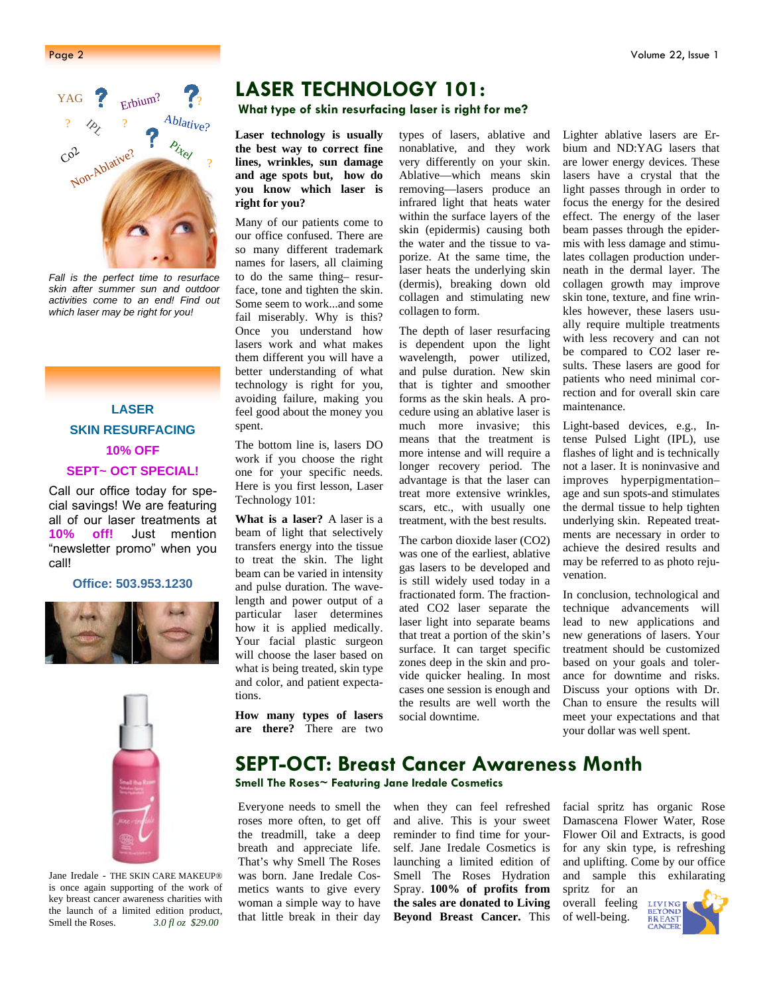

*Fall is the perfect time to resurface skin after summer sun and outdoor activities come to an end! Find out which laser may be right for you!* 

**LASER SKIN RESURFACING 10% OFF SEPT~ OCT SPECIAL!** 

Call our office today for special savings! We are featuring all of our laser treatments at **10% off!** Just mention "newsletter promo" when you call!

**Office: 503.953.1230** 





Jane Iredale - THE SKIN CARE MAKEUP® is once again supporting of the work of key breast cancer awareness charities with the launch of a limited edition product, Smell the Roses. *3.0 fl oz \$29.00* 

# **LASER TECHNOLOGY 101:**

**What type of skin resurfacing laser is right for me?**

**Laser technology is usually the best way to correct fine lines, wrinkles, sun damage and age spots but, how do you know which laser is right for you?** 

Many of our patients come to our office confused. There are so many different trademark names for lasers, all claiming to do the same thing– resurface, tone and tighten the skin. Some seem to work...and some fail miserably. Why is this? Once you understand how lasers work and what makes them different you will have a better understanding of what technology is right for you, avoiding failure, making you feel good about the money you spent.

The bottom line is, lasers DO work if you choose the right one for your specific needs. Here is you first lesson, Laser Technology 101:

**What is a laser?** A laser is a beam of light that selectively transfers energy into the tissue to treat the skin. The light beam can be varied in intensity and pulse duration. The wavelength and power output of a particular laser determines how it is applied medically. Your facial plastic surgeon will choose the laser based on what is being treated, skin type and color, and patient expectations.

**How many types of lasers are there?** There are two types of lasers, ablative and nonablative, and they work very differently on your skin. Ablative—which means skin removing—lasers produce an infrared light that heats water within the surface layers of the skin (epidermis) causing both the water and the tissue to vaporize. At the same time, the laser heats the underlying skin (dermis), breaking down old collagen and stimulating new collagen to form.

The depth of laser resurfacing is dependent upon the light wavelength, power utilized, and pulse duration. New skin that is tighter and smoother forms as the skin heals. A procedure using an ablative laser is much more invasive; this means that the treatment is more intense and will require a longer recovery period. The advantage is that the laser can treat more extensive wrinkles, scars, etc., with usually one treatment, with the best results.

The carbon dioxide laser (CO2) was one of the earliest, ablative gas lasers to be developed and is still widely used today in a fractionated form. The fractionated CO2 laser separate the laser light into separate beams that treat a portion of the skin's surface. It can target specific zones deep in the skin and provide quicker healing. In most cases one session is enough and the results are well worth the social downtime.

Lighter ablative lasers are Erbium and ND:YAG lasers that are lower energy devices. These lasers have a crystal that the light passes through in order to focus the energy for the desired effect. The energy of the laser beam passes through the epidermis with less damage and stimulates collagen production underneath in the dermal layer. The collagen growth may improve skin tone, texture, and fine wrinkles however, these lasers usually require multiple treatments with less recovery and can not be compared to CO2 laser results. These lasers are good for patients who need minimal correction and for overall skin care maintenance.

Light-based devices, e.g., Intense Pulsed Light (IPL), use flashes of light and is technically not a laser. It is noninvasive and improves hyperpigmentation– age and sun spots-and stimulates the dermal tissue to help tighten underlying skin. Repeated treatments are necessary in order to achieve the desired results and may be referred to as photo rejuvenation.

In conclusion, technological and technique advancements will lead to new applications and new generations of lasers. Your treatment should be customized based on your goals and tolerance for downtime and risks. Discuss your options with Dr. Chan to ensure the results will meet your expectations and that your dollar was well spent.

# **SEPT-OCT: Breast Cancer Awareness Month**

**Smell The Roses~ Featuring Jane Iredale Cosmetics** 

Everyone needs to smell the roses more often, to get off the treadmill, take a deep breath and appreciate life. That's why Smell The Roses was born. Jane Iredale Cosmetics wants to give every woman a simple way to have that little break in their day when they can feel refreshed and alive. This is your sweet reminder to find time for yourself. Jane Iredale Cosmetics is launching a limited edition of Smell The Roses Hydration Spray. **100% of profits from the sales are donated to Living Beyond Breast Cancer.** This facial spritz has organic Rose Damascena Flower Water, Rose Flower Oil and Extracts, is good for any skin type, is refreshing and uplifting. Come by our office and sample this exhilarating spritz for an

overall feeling of well-being.

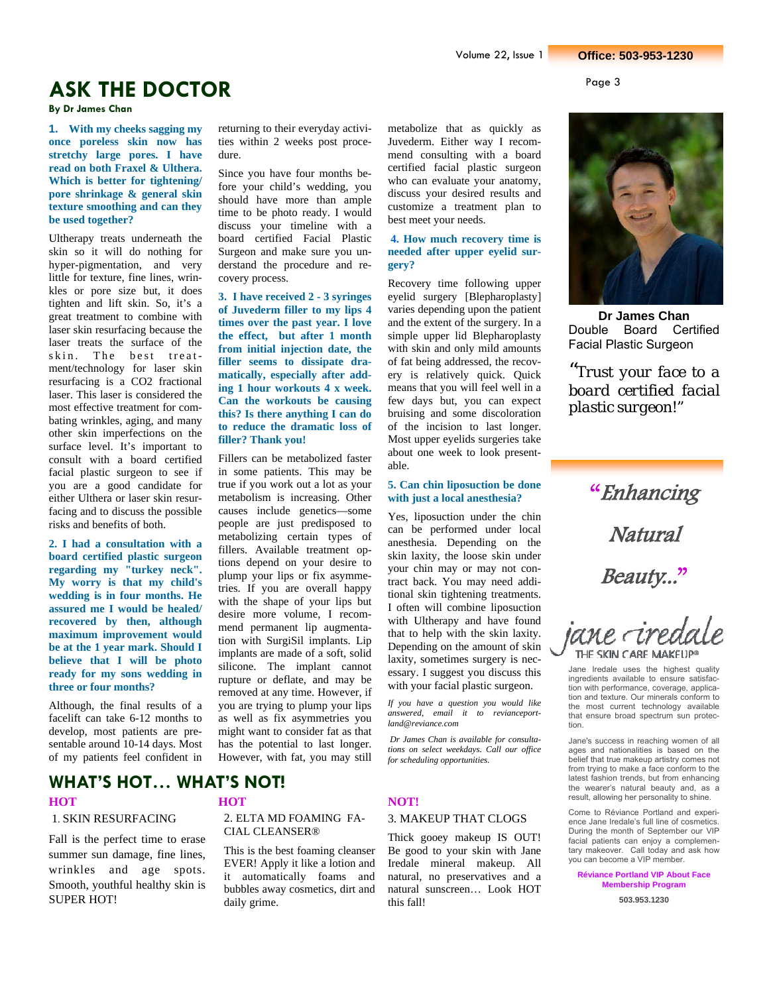# **ASK THE DOCTOR**

**By Dr James Chan** 

**1. With my cheeks sagging my once poreless skin now has stretchy large pores. I have read on both Fraxel & Ulthera. Which is better for tightening/ pore shrinkage & general skin texture smoothing and can they be used together?** 

Ultherapy treats underneath the skin so it will do nothing for hyper-pigmentation, and very little for texture, fine lines, wrinkles or pore size but, it does tighten and lift skin. So, it's a great treatment to combine with laser skin resurfacing because the laser treats the surface of the skin. The best treatment/technology for laser skin resurfacing is a CO2 fractional laser. This laser is considered the most effective treatment for combating wrinkles, aging, and many other skin imperfections on the surface level. It's important to consult with a board certified facial plastic surgeon to see if you are a good candidate for either Ulthera or laser skin resurfacing and to discuss the possible risks and benefits of both.

**2. I had a consultation with a board certified plastic surgeon regarding my "turkey neck". My worry is that my child's wedding is in four months. He assured me I would be healed/ recovered by then, although maximum improvement would be at the 1 year mark. Should I believe that I will be photo ready for my sons wedding in three or four months?** 

Although, the final results of a facelift can take 6-12 months to develop, most patients are presentable around 10-14 days. Most of my patients feel confident in

**WHAT'S HOT… WHAT'S NOT!** 

#### 1. SKIN RESURFACING

Fall is the perfect time to erase summer sun damage, fine lines, wrinkles and age spots. Smooth, youthful healthy skin is SUPER HOT!

2. ELTA MD FOAMING FA-CIAL CLEANSER®

returning to their everyday activities within 2 weeks post proce-

Since you have four months before your child's wedding, you should have more than ample time to be photo ready. I would discuss your timeline with a board certified Facial Plastic Surgeon and make sure you understand the procedure and re-

**3. I have received 2 - 3 syringes of Juvederm filler to my lips 4 times over the past year. I love the effect, but after 1 month from initial injection date, the filler seems to dissipate dramatically, especially after adding 1 hour workouts 4 x week. Can the workouts be causing this? Is there anything I can do to reduce the dramatic loss of** 

Fillers can be metabolized faster in some patients. This may be true if you work out a lot as your metabolism is increasing. Other causes include genetics—some people are just predisposed to metabolizing certain types of fillers. Available treatment options depend on your desire to plump your lips or fix asymmetries. If you are overall happy with the shape of your lips but desire more volume, I recommend permanent lip augmentation with SurgiSil implants. Lip implants are made of a soft, solid silicone. The implant cannot rupture or deflate, and may be removed at any time. However, if you are trying to plump your lips as well as fix asymmetries you might want to consider fat as that has the potential to last longer. However, with fat, you may still

dure.

covery process.

**filler? Thank you!** 

This is the best foaming cleanser EVER! Apply it like a lotion and it automatically foams and bubbles away cosmetics, dirt and daily grime.

metabolize that as quickly as Juvederm. Either way I recommend consulting with a board certified facial plastic surgeon who can evaluate your anatomy, discuss your desired results and customize a treatment plan to best meet your needs.

## **4. How much recovery time is needed after upper eyelid surgery?**

Recovery time following upper eyelid surgery [Blepharoplasty] varies depending upon the patient and the extent of the surgery. In a simple upper lid Blepharoplasty with skin and only mild amounts of fat being addressed, the recovery is relatively quick. Quick means that you will feel well in a few days but, you can expect bruising and some discoloration of the incision to last longer. Most upper eyelids surgeries take about one week to look presentable.

# **5. Can chin liposuction be done with just a local anesthesia?**

Yes, liposuction under the chin can be performed under local anesthesia. Depending on the skin laxity, the loose skin under your chin may or may not contract back. You may need additional skin tightening treatments. I often will combine liposuction with Ultherapy and have found that to help with the skin laxity. Depending on the amount of skin laxity, sometimes surgery is necessary. I suggest you discuss this with your facial plastic surgeon.

*If you have a question you would like answered, email it to revianceportland@reviance.com* 

 *Dr James Chan is available for consultations on select weekdays. Call our office for scheduling opportunities.* 

# **HOT NOT!** 3. MAKEUP THAT CLOGS

Thick gooey makeup IS OUT! Be good to your skin with Jane Iredale mineral makeup. All natural, no preservatives and a natural sunscreen… Look HOT this fall!



**Dr James Chan**  Double Board Certified Facial Plastic Surgeon

*"Trust your face to a board certified facial plastic surgeon!"*

"Enhancing Natural Beauty..."

iane -iredale THE SKIN CARE MAKEUP<sup>®</sup>

Jane Iredale uses the highest quality ingredients available to ensure satisfaction with performance, coverage, application and texture. Our minerals conform to the most current technology available that ensure broad spectrum sun protection.

Jane's success in reaching women of all ages and nationalities is based on the belief that true makeup artistry comes not from trying to make a face conform to the latest fashion trends, but from enhancing the wearer's natural beauty and, as a result, allowing her personality to shine.

Come to Réviance Portland and experience Jane Iredale's full line of cosmetics. During the month of September our VIP facial patients can enjoy a complementary makeover. Call today and ask how you can become a VIP member.

**Réviance Portland VIP About Face Membership Program** 

**503.953.1230**